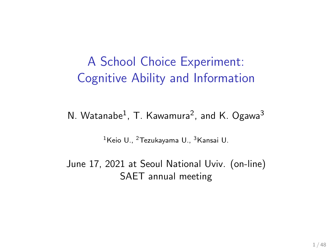### A School Choice Experiment: Cognitive Ability and Information

 $N.$  Watanabe $^{1}$ , T. Kawamura $^{2}$ , and K. Ogawa $^{3}$ 

<sup>1</sup>Keio U., <sup>2</sup>Tezukayama U., <sup>3</sup>Kansai U.

June 17, 2021 at Seoul National Uviv. (on-line) SAET annual meeting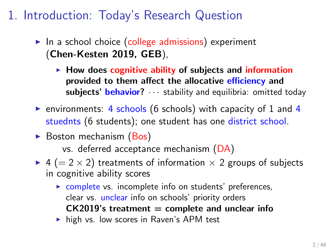## 1. Introduction: Today's Research Question

- ▶ In a school choice (college admissions) experiment (**Chen-Kesten 2019, GEB**),
	- ▶ **How does cognitive ability of subjects and information provided to them affect the allocative efficiency and subjects' behavior?** *· · ·* stability and equilibria: omitted today
- ▶ environments: 4 schools (6 schools) with capacity of 1 and 4 stuednts (6 students); one student has one district school.
- ▶ Boston mechanism (Bos)

vs. deferred acceptance mechanism (DA)

- ▶ 4 (= 2 × 2) treatments of information × 2 groups of subjects in cognitive ability scores
	- ▶ complete vs. incomplete info on students' preferences, clear vs. unclear info on schools' priority orders **CK2019's treatment = complete and unclear info**
	- ▶ high vs. low scores in Raven's APM test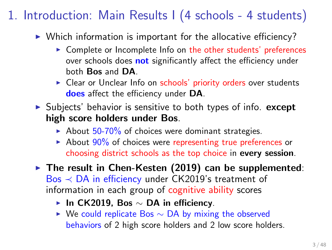# 1. Introduction: Main Results I (4 schools - 4 students)

- ▶ Which information is important for the allocative efficiency?
	- ▶ Complete or Incomplete Info on the other students' preferences over schools does **not** significantly affect the efficiency under both **Bos** and **DA**.
	- ▶ Clear or Unclear Info on schools' priority orders over students **does** affect the efficiency under **DA**.
- ▶ Subjects' behavior is sensitive to both types of info. **except high score holders under Bos**.
	- $\blacktriangleright$  About 50-70% of choices were dominant strategies.
	- $\blacktriangleright$  About 90% of choices were representing true preferences or choosing district schools as the top choice in **every session**.
- ▶ **The result in Chen-Kesten (2019) can be supplemented**: Bos *≺* DA in efficiency under CK2019's treatment of information in each group of cognitive ability scores
	- ▶ **In CK2019, Bos** *∼* **DA in efficiency**.
	- ▶ We could replicate Bos *∼* DA by mixing the observed behaviors of 2 high score holders and 2 low score holders.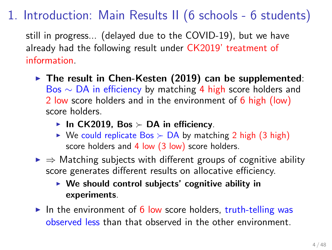# 1. Introduction: Main Results II (6 schools - 6 students)

still in progress... (delayed due to the COVID-19), but we have already had the following result under CK2019' treatment of information.

- ▶ **The result in Chen-Kesten (2019) can be supplemented**: Bos *∼* DA in efficiency by matching 4 high score holders and 2 low score holders and in the environment of 6 high (low) score holders.
	- ▶ **In CK2019, Bos** *≻* **DA in efficiency**.
	- ▶ We could replicate Bos *≻* DA by matching 2 high (3 high) score holders and 4 low (3 low) score holders.
- ▶ *⇒* Matching subjects with different groups of cognitive ability score generates different results on allocative efficiency.
	- ▶ **We should control subjects' cognitive ability in experiments**.
- $\triangleright$  In the environment of 6 low score holders, truth-telling was observed less than that observed in the other environment.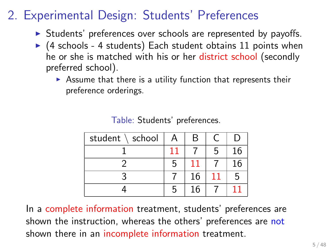# 2. Experimental Design: Students' Preferences

- ▶ Students' preferences over schools are represented by payoffs.
- $\triangleright$  (4 schools 4 students) Each student obtains 11 points when he or she is matched with his or her district school (secondly preferred school).
	- $\triangleright$  Assume that there is a utility function that represents their preference orderings.

| student \ school |    | R  |    |    |
|------------------|----|----|----|----|
|                  | 11 |    | 5  | 16 |
|                  |    |    |    | 16 |
|                  |    | 16 | 11 |    |
|                  |    | 16 |    |    |

Table: Students' preferences.

In a complete information treatment, students' preferences are shown the instruction, whereas the others' preferences are not shown there in an incomplete information treatment.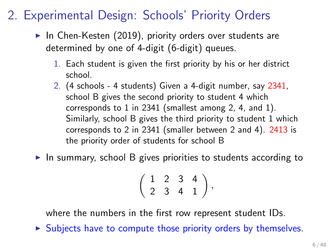## 2. Experimental Design: Schools' Priority Orders

- $\blacktriangleright$  In Chen-Kesten (2019), priority orders over students are determined by one of 4-digit (6-digit) queues.
	- 1. Each student is given the first priority by his or her district school.
	- 2. (4 schools 4 students) Given a 4-digit number, say 2341, school B gives the second priority to student 4 which corresponds to 1 in 2341 (smallest among 2, 4, and 1). Similarly, school B gives the third priority to student 1 which corresponds to 2 in 2341 (smaller between 2 and 4). 2413 is the priority order of students for school B
- $\triangleright$  In summary, school B gives priorities to students according to

$$
\left(\begin{array}{rrr}1&2&3&4\\2&3&4&1\end{array}\right),
$$

where the numbers in the first row represent student IDs.

 $\triangleright$  Subjects have to compute those priority orders by themselves.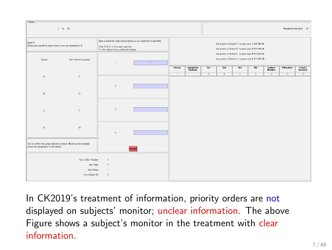| - Period-                                                                          | $2$ of $20$                                                           |                                                                                                                                                              |        |        |                       |                |                                                                                                                                                                                                                  |                |                |                   |                | Remaining time [sec]: 167 |
|------------------------------------------------------------------------------------|-----------------------------------------------------------------------|--------------------------------------------------------------------------------------------------------------------------------------------------------------|--------|--------|-----------------------|----------------|------------------------------------------------------------------------------------------------------------------------------------------------------------------------------------------------------------------|----------------|----------------|-------------------|----------------|---------------------------|
| Chart A:<br>Shows your payoff for each school if you are accepted to it.<br>School | Your Payoff (in points)                                               | leput a school for each ranking below as you would like it submitted.<br>Enter A. B. C, or D in each input box.<br>I is the highest (most preferred) ranking |        |        |                       |                | the priority of School A to each type: 1->2->3->4<br>the priority of School B to each type: 2->1->3->4<br>the priority of School 0 to each type: 3->1->2->4<br>the priority of School D to each type: 4->1->2->3 |                |                |                   |                |                           |
|                                                                                    |                                                                       | $\mathbf{1}$                                                                                                                                                 |        | Period | Submitted<br>Ranking: | 1st            | 2nd                                                                                                                                                                                                              | 2rd            | 4th            | Lottery<br>Number | Allocation     | Payoff<br>(points)        |
| A.                                                                                 | 5                                                                     |                                                                                                                                                              |        | т      |                       | $\overline{A}$ | $\overline{B}$                                                                                                                                                                                                   | $\overline{c}$ | $\overline{D}$ | $\overline{2}$    | $\overline{D}$ | 16                        |
| 8                                                                                  | $\ddot{\phantom{1}}$                                                  | $\hat{z}$                                                                                                                                                    |        |        |                       |                |                                                                                                                                                                                                                  |                |                |                   |                |                           |
| $\circ$                                                                            | $\overline{\phantom{a}}$                                              | $\mathbf{r}$                                                                                                                                                 |        |        |                       |                |                                                                                                                                                                                                                  |                |                |                   |                |                           |
| D.                                                                                 | 16                                                                    | $\ddot{\phantom{1}}$                                                                                                                                         |        |        |                       |                |                                                                                                                                                                                                                  |                |                |                   |                |                           |
| priority for acceptance to this school.                                            | You live within the school district of school B and so have highest   |                                                                                                                                                              | Submit |        |                       |                |                                                                                                                                                                                                                  |                |                |                   |                |                           |
|                                                                                    | Your Lottery Number:<br>Your Type:<br>Your Group:<br>Your Subject ID: | $\hat{z}$<br>$\hat{z}$<br>$\mathbf{I}$<br>$\hat{\mathbf{z}}$                                                                                                 |        |        |                       |                |                                                                                                                                                                                                                  |                |                |                   |                |                           |

In CK2019's treatment of information, priority orders are not displayed on subjects' monitor; unclear information. The above Figure shows a subject's monitor in the treatment with clear information.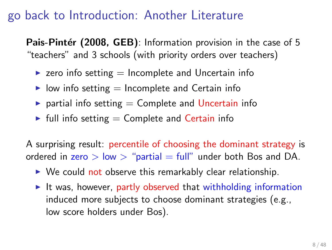### go back to Introduction: Another Literature

**Pais-Pintér (2008, GEB)**: Information provision in the case of 5 "teachers" and 3 schools (with priority orders over teachers)

- $\triangleright$  zero info setting  $=$  Incomplete and Uncertain info
- $\triangleright$  low info setting  $=$  Incomplete and Certain info
- $\triangleright$  partial info setting  $=$  Complete and Uncertain info
- $\blacktriangleright$  full info setting  $=$  Complete and Certain info

A surprising result: percentile of choosing the dominant strategy is ordered in  $zero > low >$  "partial  $=$  full" under both Bos and DA.

- $\triangleright$  We could not observe this remarkably clear relationship.
- ▶ It was, however, partly observed that withholding information induced more subjects to choose dominant strategies (e.g., low score holders under Bos).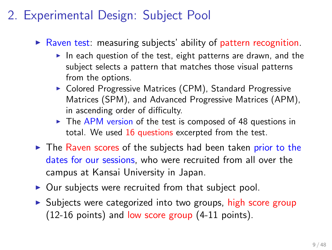## 2. Experimental Design: Subject Pool

- $\triangleright$  Raven test: measuring subjects' ability of pattern recognition.
	- $\blacktriangleright$  In each question of the test, eight patterns are drawn, and the subject selects a pattern that matches those visual patterns from the options.
	- ▶ Colored Progressive Matrices (CPM), Standard Progressive Matrices (SPM), and Advanced Progressive Matrices (APM), in ascending order of difficulty.
	- ▶ The APM version of the test is composed of 48 questions in total. We used 16 questions excerpted from the test.
- ▶ The Raven scores of the subjects had been taken prior to the dates for our sessions, who were recruited from all over the campus at Kansai University in Japan.
- $\triangleright$  Our subjects were recruited from that subject pool.
- ▶ Subjects were categorized into two groups, high score group (12-16 points) and low score group (4-11 points).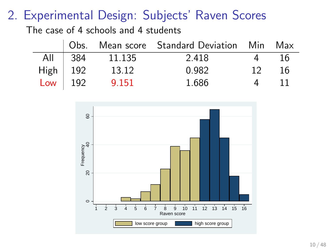## 2. Experimental Design: Subjects' Raven Scores

The case of 4 schools and 4 students

|                                                                        |                | Obs. Mean score Standard Deviation Min Max |                 |      |
|------------------------------------------------------------------------|----------------|--------------------------------------------|-----------------|------|
|                                                                        | All 384 11.135 | 2.418                                      | 4               | -16  |
|                                                                        | 13.12          | 0.982                                      | 12 <sup>7</sup> | - 16 |
| $\begin{array}{c c} \text{High} & 192 \\ \text{Low} & 192 \end{array}$ | 9.151          | 1.686                                      | 4               | -11  |

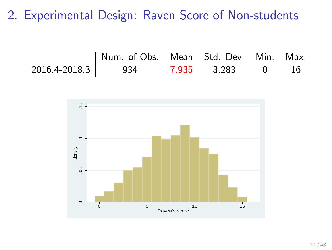2. Experimental Design: Raven Score of Non-students

| Num. of Obs. Mean Std. Dev. Min. Max. |  |  |
|---------------------------------------|--|--|
| 2016.4-2018.3 934 7.935 3.283 0       |  |  |

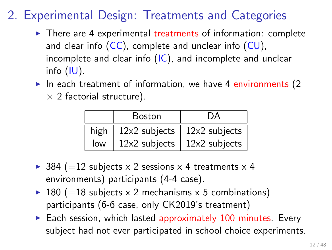# 2. Experimental Design: Treatments and Categories

- $\triangleright$  There are 4 experimental treatments of information: complete and clear info  $(CC)$ , complete and unclear info  $(CU)$ , incomplete and clear info (IC), and incomplete and unclear info (IU).
- $\blacktriangleright$  In each treatment of information, we have 4 environments (2 *×* 2 factorial structure).

|      | <b>Boston</b>   | DА                    |
|------|-----------------|-----------------------|
| high | $12x2$ subjects | $\vert$ 12x2 subjects |
| low  | 12x2 subjects   | 12x2 subjects         |

- ▶ 384 ( $=$ 12 subjects  $\times$  2 sessions  $\times$  4 treatments  $\times$  4 environments) participants (4-4 case).
- ▶ 180 (=18 subjects  $\times$  2 mechanisms  $\times$  5 combinations) participants (6-6 case, only CK2019's treatment)
- $\triangleright$  Each session, which lasted approximately 100 minutes. Every subject had not ever participated in school choice experiments.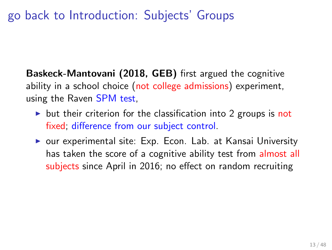### go back to Introduction: Subjects' Groups

**Baskeck-Mantovani (2018, GEB)** first argued the cognitive ability in a school choice (not college admissions) experiment, using the Raven SPM test,

- $\triangleright$  but their criterion for the classification into 2 groups is not fixed; difference from our subject control.
- ▶ our experimental site: Exp. Econ. Lab. at Kansai University has taken the score of a cognitive ability test from almost all subjects since April in 2016; no effect on random recruiting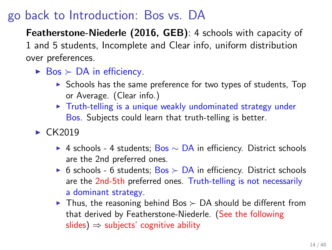### go back to Introduction: Bos vs. DA

**Featherstone-Niederle (2016, GEB)**: 4 schools with capacity of 1 and 5 students, Incomplete and Clear info, uniform distribution over preferences.

- ▶ Bos *≻* DA in efficiency.
	- ▶ Schools has the same preference for two types of students, Top or Average. (Clear info.)
	- ▶ Truth-telling is a unique weakly undominated strategy under Bos. Subjects could learn that truth-telling is better.
- $\blacktriangleright$  CK2019
	- ▶ 4 schools 4 students; Bos *∼* DA in efficiency. District schools are the 2nd preferred ones.
	- ▶ 6 schools 6 students; Bos *≻* DA in efficiency. District schools are the 2nd-5th preferred ones. Truth-telling is not necessarily a dominant strategy.
	- ▶ Thus, the reasoning behind Bos *≻* DA should be different from that derived by Featherstone-Niederle. (See the following slides) *⇒* subjects' cognitive ability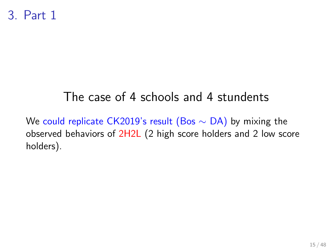## The case of 4 schools and 4 stundents

We could replicate CK2019's result (Bos *∼* DA) by mixing the observed behaviors of 2H2L (2 high score holders and 2 low score holders).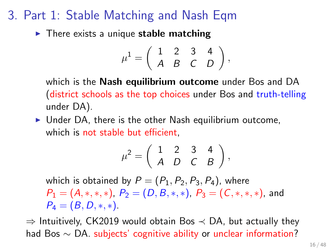### 3. Part 1: Stable Matching and Nash Eqm

▶ There exists a unique **stable matching**

$$
\mu^1 = \left( \begin{array}{rrr} 1 & 2 & 3 & 4 \\ A & B & C & D \end{array} \right),
$$

which is the **Nash equilibrium outcome** under Bos and DA (district schools as the top choices under Bos and truth-telling under DA).

 $\triangleright$  Under DA, there is the other Nash equilibrium outcome, which is not stable but efficient,

$$
\mu^2 = \left(\begin{array}{rrr} 1 & 2 & 3 & 4 \\ A & D & C & B \end{array}\right),
$$

which is obtained by  $P = (P_1, P_2, P_3, P_4)$ , where  $P_1 = (A,*,*,*)$ ,  $P_2 = (D, B,*,*)$ ,  $P_3 = (C,*,*,*)$ , and  $P_4 = (B, D, *, *)$ .

*⇒* Intuitively, CK2019 would obtain Bos *≺* DA, but actually they had Bos *∼* DA. subjects' cognitive ability or unclear information?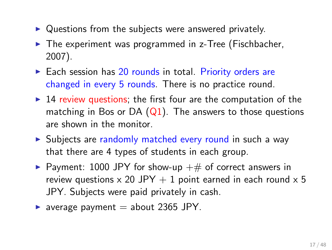- ▶ Questions from the subjects were answered privately.
- ▶ The experiment was programmed in z-Tree (Fischbacher, 2007).
- ▶ Each session has 20 rounds in total. Priority orders are changed in every 5 rounds. There is no practice round.
- $\triangleright$  14 review questions; the first four are the computation of the matching in Bos or DA  $(Q1)$ . The answers to those questions are shown in the monitor.
- ▶ Subjects are randomly matched every round in such a way that there are 4 types of students in each group.
- ▶ Payment: 1000 JPY for show-up  $#$  of correct answers in review questions  $\times$  20 JPY + 1 point earned in each round  $\times$  5 JPY. Subjects were paid privately in cash.
- $\blacktriangleright$  average payment = about 2365 JPY.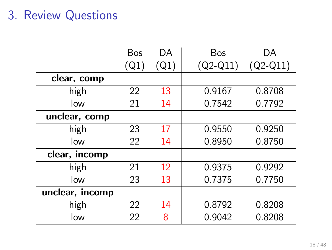## 3. Review Questions

|                 | Bos  | DА   | Bos        | DA         |
|-----------------|------|------|------------|------------|
|                 | (Q1) | (Q1) | $(Q2-Q11)$ | $(Q2-Q11)$ |
| clear, comp     |      |      |            |            |
| high            | 22   | 13   | 0.9167     | 0.8708     |
| low             | 21   | 14   | 0.7542     | 0.7792     |
| unclear, comp   |      |      |            |            |
| high            | 23   | 17   | 0.9550     | 0.9250     |
| low             | 22   | 14   | 0.8950     | 0.8750     |
| clear, incomp   |      |      |            |            |
| high            | 21   | 12   | 0.9375     | 0.9292     |
| low             | 23   | 13   | 0.7375     | 0.7750     |
| unclear, incomp |      |      |            |            |
| high            | 22   | 14   | 0.8792     | 0.8208     |
| low             | 22   | 8    | 0.9042     | 0.8208     |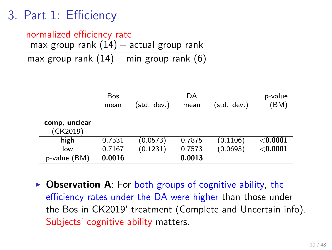### 3. Part 1: Efficiency

### normalized efficiency rate  $=$ max group rank (14) *−* actual group rank

max group rank (14) *−* min group rank (6)

|                           | Bos<br>mean | (std. dev.) | DA<br>mean | (std. dev.) | p-value<br>(BM) |
|---------------------------|-------------|-------------|------------|-------------|-----------------|
| comp, unclear<br>(CK2019) |             |             |            |             |                 |
| high                      | 0.7531      | (0.0573)    | 0.7875     | (0.1106)    | ${<}0.0001$     |
| low                       | 0.7167      | (0.1231)    | 0.7573     | (0.0693)    | $<$ 0.0001      |
| BM)<br>p-value            | 0.0016      |             | 0.0013     |             |                 |

▶ Observation A: For both groups of cognitive ability, the efficiency rates under the DA were higher than those under the Bos in CK2019' treatment (Complete and Uncertain info). Subjects' cognitive ability matters.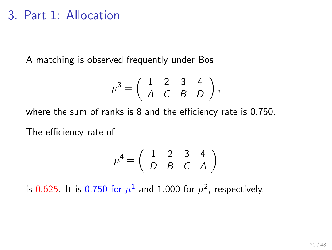### 3. Part 1: Allocation

A matching is observed frequently under Bos

$$
\mu^3 = \left(\begin{array}{ccc} 1 & 2 & 3 & 4 \\ A & C & B & D \end{array}\right),
$$

where the sum of ranks is 8 and the efficiency rate is 0.750.

The efficiency rate of

$$
\mu^4=\left(\begin{array}{ccc}1&2&3&4\\D&B&C&A\end{array}\right)
$$

is  $0.625$ . It is  $0.750$  for  $\mu^1$  and  $1.000$  for  $\mu^2$ , respectively.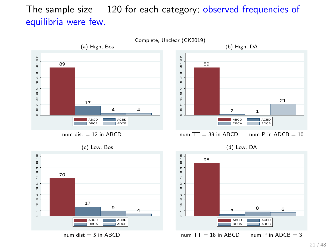#### The sample size  $= 120$  for each category; observed frequencies of equilibria were few.

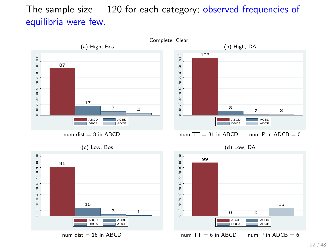#### The sample size  $= 120$  for each category; observed frequencies of equilibria were few.

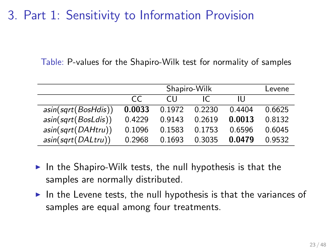### 3. Part 1: Sensitivity to Information Provision

Table: P-values for the Shapiro-Wilk test for normality of samples

|                     |        | Levene |        |        |        |
|---------------------|--------|--------|--------|--------|--------|
|                     | CC.    | CH.    |        | Ш      |        |
| asin(sqrt(BosHdis)) | 0.0033 | 0.1972 | 0.2230 | 0.4404 | 0.6625 |
| asin(sqrt(BosLdis)) | 0.4229 | 0.9143 | 0.2619 | 0.0013 | 0.8132 |
| asin(sqrt(DAHtru))  | 0.1096 | 0.1583 | 0.1753 | 0.6596 | 0.6045 |
| asin(sqrt(DALtru))  | 0.2968 | 0.1693 | 0.3035 | 0.0479 | 0.9532 |

- $\triangleright$  In the Shapiro-Wilk tests, the null hypothesis is that the samples are normally distributed.
- $\blacktriangleright$  In the Levene tests, the null hypothesis is that the variances of samples are equal among four treatments.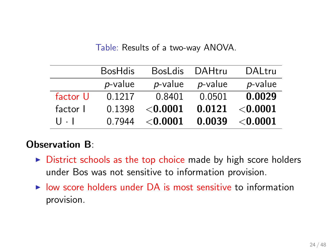|          | <b>BosHdis</b> | <b>BosLdis</b>  | <b>DAHtru</b> | DALtru          |
|----------|----------------|-----------------|---------------|-----------------|
|          | p-value        | p-value         | p-value       | $p$ -value      |
| factor U | 0.1217         | 0.8401          | 0.0501        | 0.0029          |
| factor I | 0.1398         | $<$ 0.0001 $\,$ | 0.0121        | $<$ 0.0001 $\,$ |
| U - I    | 0.7944         | $<$ 0.0001 $\,$ | 0.0039        | ${<}0.0001$     |
|          |                |                 |               |                 |

Table: Results of a two-way ANOVA.

#### **Observation B**:

- $\triangleright$  District schools as the top choice made by high score holders under Bos was not sensitive to information provision.
- $\triangleright$  low score holders under DA is most sensitive to information provision.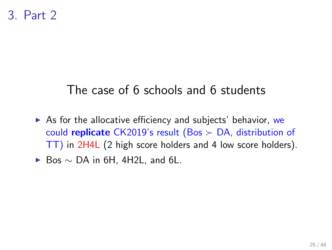### The case of 6 schools and 6 students

 $\triangleright$  As for the allocative efficiency and subjects' behavior, we could **replicate** CK2019's result (Bos *≻* DA, distribution of TT) in 2H4L (2 high score holders and 4 low score holders).

▶ Bos *∼* DA in 6H, 4H2L, and 6L.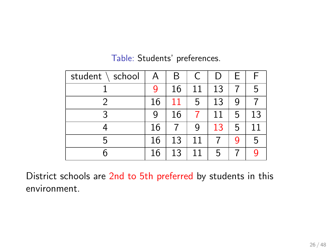| student $\setminus$ school | A  | Β  | $\mathsf{C}$ |    | Е |    |
|----------------------------|----|----|--------------|----|---|----|
|                            | g  | 16 | 11           | 13 |   | 5  |
|                            | 16 | 11 | 5            | 13 | 9 |    |
|                            | 9  | 16 |              | 11 | 5 | 13 |
|                            | 16 |    | 9            | 13 | 5 | 11 |
| 5                          | 16 | 13 | 11           |    | 9 | 5  |
|                            | 16 | 13 | 11           | 5  |   |    |

#### Table: Students' preferences.

District schools are 2nd to 5th preferred by students in this environment.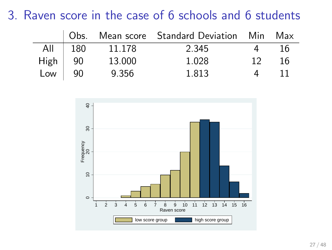### 3. Raven score in the case of 6 schools and 6 students

|                                               |           |        | Obs. Mean score Standard Deviation Min Max |    |     |
|-----------------------------------------------|-----------|--------|--------------------------------------------|----|-----|
|                                               | All   180 | 11.178 | 2.345                                      |    | 16  |
| High $\begin{vmatrix} 90 \\ 90 \end{vmatrix}$ |           | 13.000 | 1.028                                      | 12 | -16 |
|                                               |           | 9.356  | 1.813                                      | 4  |     |

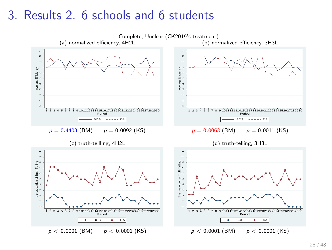### 3. Results 2. 6 schools and 6 students

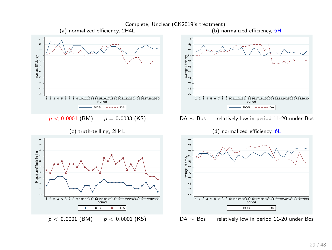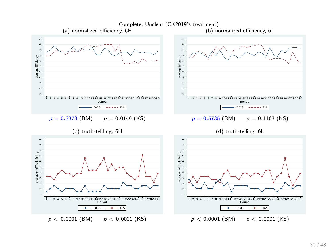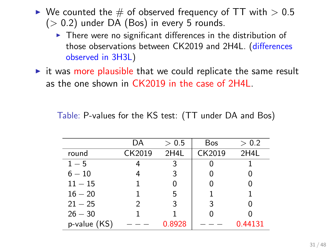- ▶ We counted the # of observed frequency of TT with *>* 0.5 (*>* 0.2) under DA (Bos) in every 5 rounds.
	- $\triangleright$  There were no significant differences in the distribution of those observations between CK2019 and 2H4L. (differences observed in 3H3L)
- $\triangleright$  it was more plausible that we could replicate the same result as the one shown in CK2019 in the case of 2H4L.

Table: P-values for the KS test: (TT under DA and Bos)

|              | DA     | > 0.5  | <b>Bos</b> | > 0.2   |
|--------------|--------|--------|------------|---------|
| round        | CK2019 | 2H4L   | CK2019     | 2H4L    |
| $1-5$        |        | 3      |            |         |
| $6-10$       | 4      | 3      |            |         |
| $11 - 15$    |        | 0      |            |         |
| $16 - 20$    |        | 5      | 1          | 1       |
| $21 - 25$    | 2      | 3      | 3          |         |
| $26 - 30$    |        |        |            |         |
| p-value (KS) |        | 0.8928 |            | 0.44131 |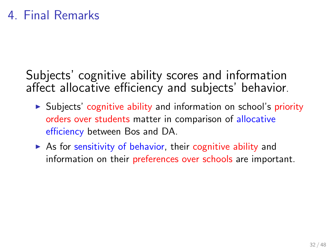Subjects' cognitive ability scores and information affect allocative efficiency and subjects' behavior.

- ▶ Subjects' cognitive ability and information on school's priority orders over students matter in comparison of allocative efficiency between Bos and DA.
- $\triangleright$  As for sensitivity of behavior, their cognitive ability and information on their preferences over schools are important.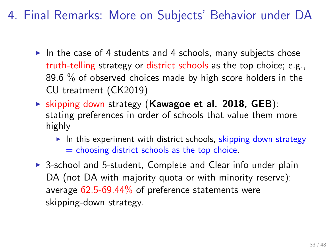4. Final Remarks: More on Subjects' Behavior under DA

- $\blacktriangleright$  In the case of 4 students and 4 schools, many subjects chose truth-telling strategy or district schools as the top choice; e.g., 89.6 % of observed choices made by high score holders in the CU treatment (CK2019)
- ▶ skipping down strategy (**Kawagoe et al. 2018, GEB**): stating preferences in order of schools that value them more highly
	- $\blacktriangleright$  In this experiment with district schools, skipping down strategy  $=$  choosing district schools as the top choice.
- ▶ 3-school and 5-student, Complete and Clear info under plain DA (not DA with majority quota or with minority reserve): average 62.5-69.44% of preference statements were skipping-down strategy.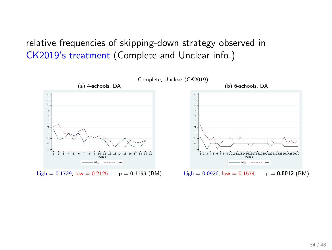relative frequencies of skipping-down strategy observed in CK2019's treatment (Complete and Unclear info.)

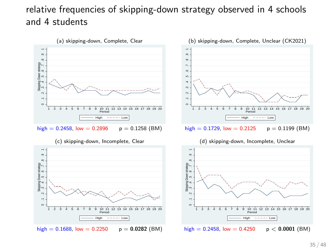#### relative frequencies of skipping-down strategy observed in 4 schools and 4 students







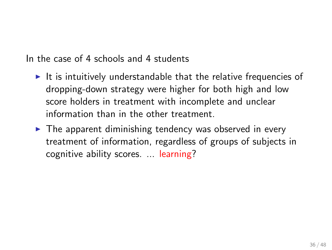In the case of 4 schools and 4 students

- $\blacktriangleright$  It is intuitively understandable that the relative frequencies of dropping-down strategy were higher for both high and low score holders in treatment with incomplete and unclear information than in the other treatment.
- $\triangleright$  The apparent diminishing tendency was observed in every treatment of information, regardless of groups of subjects in cognitive ability scores. ... learning?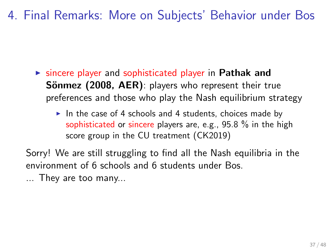4. Final Remarks: More on Subjects' Behavior under Bos

- ▶ sincere player and sophisticated player in **Pathak and Sönmez (2008, AER)**: players who represent their true preferences and those who play the Nash equilibrium strategy
	- $\blacktriangleright$  In the case of 4 schools and 4 students, choices made by sophisticated or sincere players are, e.g., 95.8 % in the high score group in the CU treatment (CK2019)

Sorry! We are still struggling to find all the Nash equilibria in the environment of 6 schools and 6 students under Bos.

... They are too many...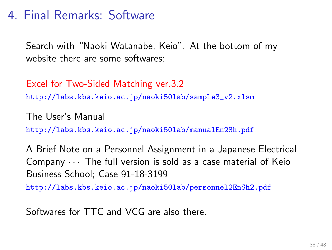### 4. Final Remarks: Software

Search with "Naoki Watanabe, Keio". At the bottom of my website there are some softwares:

Excel for Two-Sided Matching ver.3.2 http://labs.kbs.keio.ac.jp/naoki50lab/sample3\_v2.xlsm

The User's Manual http://labs.kbs.keio.ac.jp/naoki50lab/manualEn2Sh.pdf

A Brief Note on a Personnel Assignment in a Japanese Electrical Company *· · ·* The full version is sold as a case material of Keio Business School; Case 91-18-3199

http://labs.kbs.keio.ac.jp/naoki50lab/personnel2EnSh2.pdf

Softwares for TTC and VCG are also there.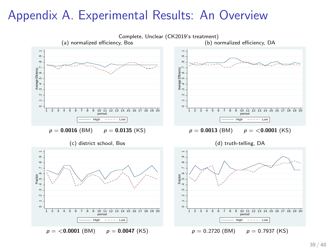### Appendix A. Experimental Results: An Overview

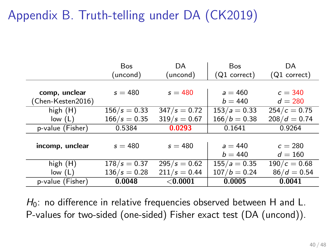# Appendix B. Truth-telling under DA (CK2019)

|                   | <b>Bos</b>     | DA             | <b>Bos</b>     | DA             |
|-------------------|----------------|----------------|----------------|----------------|
|                   | uncond)        | (uncond)       | (Q1 correct)   | (Q1 correct)   |
|                   |                |                |                |                |
| comp, unclear     | $s = 480$      | $s = 480$      | $a = 460$      | $c = 340$      |
| (Chen-Kesten2016) |                |                | $b = 440$      | $d = 280$      |
| high $(H)$        | $156/s = 0.33$ | $347/s = 0.72$ | $153/a = 0.33$ | $254/c = 0.75$ |
| low(L)            | $166/s = 0.35$ | $319/s = 0.67$ | $166/b = 0.38$ | $208/d = 0.74$ |
| p-value (Fisher)  | 0.5384         | 0.0293         | 0.1641         | 0.9264         |
|                   |                |                |                |                |
| incomp, unclear   | $s = 480$      | $s = 480$      | $a = 440$      | $c = 280$      |
|                   |                |                | $b = 440$      | $d = 160$      |
| high $(H)$        | $178/s = 0.37$ | $295/s = 0.62$ | $155/a = 0.35$ | $190/c = 0.68$ |
| low(L)            | $136/s = 0.28$ | $211/s = 0.44$ | $107/b = 0.24$ | $86/d = 0.54$  |
| p-value (Fisher)  | 0.0048         | $<$ 0.0001     | 0.0005         | 0.0041         |

H<sub>0</sub>: no difference in relative frequencies observed between H and L. P-values for two-sided (one-sided) Fisher exact test (DA (uncond)).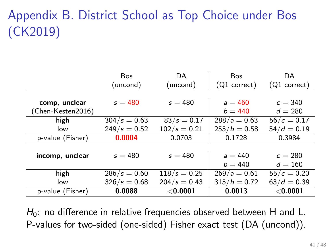# Appendix B. District School as Top Choice under Bos (CK2019)

|                   | <b>Bos</b>     | DA             | <b>Bos</b>             | DA                     |
|-------------------|----------------|----------------|------------------------|------------------------|
|                   | (uncond)       | (uncond)       | $(Q1 \text{ correct})$ | $(Q1 \text{ correct})$ |
|                   |                |                |                        |                        |
| comp, unclear     | $s = 480$      | $s = 480$      | $a = 460$              | $c = 340$              |
| (Chen-Kesten2016) |                |                | $b = 440$              | $d = 280$              |
| high              | $304/s = 0.63$ | $83/s = 0.17$  | $288/a = 0.63$         | $56/c = 0.17$          |
| low               | $249/s = 0.52$ | $102/s = 0.21$ | $255/b = 0.58$         | $54/d = 0.19$          |
| p-value (Fisher)  | 0.0004         | 0.0703         | 0.1728                 | 0.3984                 |
|                   |                |                |                        |                        |
| incomp, unclear   | $s = 480$      | $s = 480$      | $a = 440$              | $c = 280$              |
|                   |                |                | $b = 440$              | $d = 160$              |
| high              | $286/s = 0.60$ | $118/s = 0.25$ | $269/a = 0.61$         | $55/c = 0.20$          |
| low               | $326/s = 0.68$ | $204/s = 0.43$ | $315/b = 0.72$         | $63/d = 0.39$          |
| p-value (Fisher)  | 0.0088         | $<$ 0.0001     | 0.0013                 | $<$ 0.0001             |

H<sub>0</sub>: no difference in relative frequencies observed between H and L. P-values for two-sided (one-sided) Fisher exact test (DA (uncond)).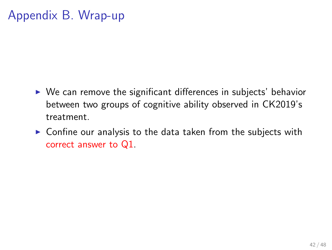### Appendix B. Wrap-up

- $\triangleright$  We can remove the significant differences in subjects' behavior between two groups of cognitive ability observed in CK2019's treatment.
- $\triangleright$  Confine our analysis to the data taken from the subjects with correct answer to Q1.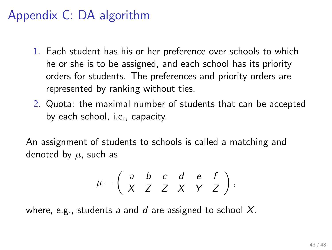### Appendix C: DA algorithm

- 1. Each student has his or her preference over schools to which he or she is to be assigned, and each school has its priority orders for students. The preferences and priority orders are represented by ranking without ties.
- 2. Quota: the maximal number of students that can be accepted by each school, i.e., capacity.

An assignment of students to schools is called a matching and denoted by  $\mu$ , such as

$$
\mu = \left( \begin{array}{cccccc} a & b & c & d & e & f \\ X & Z & Z & X & Y & Z \end{array} \right),
$$

where, e.g., students *a* and *d* are assigned to school *X*.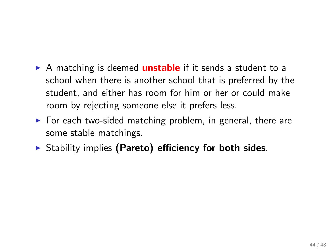- ▶ A matching is deemed **unstable** if it sends a student to a school when there is another school that is preferred by the student, and either has room for him or her or could make room by rejecting someone else it prefers less.
- $\triangleright$  For each two-sided matching problem, in general, there are some stable matchings.
- ▶ Stability implies **(Pareto) efficiency for both sides**.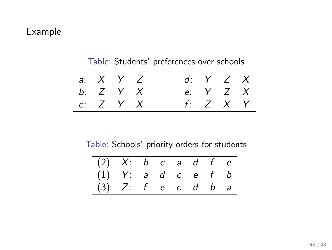#### Example

| a: X Y Z |  | $d: Y \quad Z \quad X$ |  |
|----------|--|------------------------|--|
| b: Z Y X |  | e: Y Z X               |  |
| c: Z Y X |  | $f: Z \times Y$        |  |

#### Table: Students' preferences over schools

Table: Schools' priority orders for students

| $(2)$ X: b c a d f e |                      |  |  |  |
|----------------------|----------------------|--|--|--|
|                      | $(1)$ Y: a d c e f b |  |  |  |
|                      | $(3)$ Z: f e c d b a |  |  |  |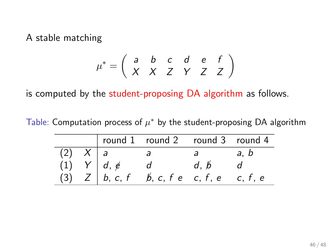A stable matching

$$
\mu^* = \left(\begin{array}{cccccc} a & b & c & d & e & f \\ X & X & Z & Y & Z & Z \end{array}\right)
$$

is computed by the student-proposing DA algorithm as follows.

Table: Computation process of  $\mu^*$  by the student-proposing DA algorithm

|  | round 1 round 2 round 3 round 4                                                                                      |  |
|--|----------------------------------------------------------------------------------------------------------------------|--|
|  |                                                                                                                      |  |
|  |                                                                                                                      |  |
|  | $\begin{array}{c ccccc}\n\hline\n\lambda & a & c & \\ \hline\n\lambda & Y & d & e & d & d, p \\ \hline\n\end{array}$ |  |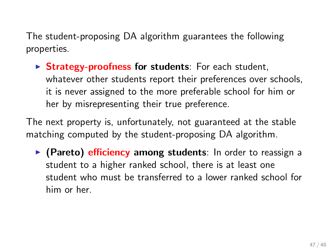The student-proposing DA algorithm guarantees the following properties.

▶ **Strategy-proofness for students**: For each student, whatever other students report their preferences over schools, it is never assigned to the more preferable school for him or her by misrepresenting their true preference.

The next property is, unfortunately, not guaranteed at the stable matching computed by the student-proposing DA algorithm.

▶ **(Pareto) efficiency among students**: In order to reassign a student to a higher ranked school, there is at least one student who must be transferred to a lower ranked school for him or her.